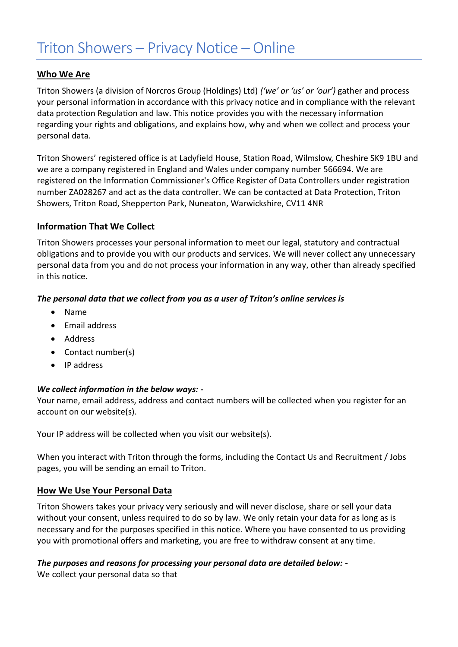# **Who We Are**

Triton Showers (a division of Norcros Group (Holdings) Ltd) *('we' or 'us' or 'our')* gather and process your personal information in accordance with this privacy notice and in compliance with the relevant data protection Regulation and law. This notice provides you with the necessary information regarding your rights and obligations, and explains how, why and when we collect and process your personal data.

Triton Showers' registered office is at Ladyfield House, Station Road, Wilmslow, Cheshire SK9 1BU and we are a company registered in England and Wales under company number 566694. We are registered on the Information Commissioner's Office Register of Data Controllers under registration number ZA028267 and act as the data controller. We can be contacted at Data Protection, Triton Showers, Triton Road, Shepperton Park, Nuneaton, Warwickshire, CV11 4NR

# **Information That We Collect**

Triton Showers processes your personal information to meet our legal, statutory and contractual obligations and to provide you with our products and services. We will never collect any unnecessary personal data from you and do not process your information in any way, other than already specified in this notice.

### *The personal data that we collect from you as a user of Triton's online services is*

- Name
- Email address
- Address
- Contact number(s)
- IP address

### *We collect information in the below ways: -*

Your name, email address, address and contact numbers will be collected when you register for an account on our website(s).

Your IP address will be collected when you visit our website(s).

When you interact with Triton through the forms, including the Contact Us and Recruitment / Jobs pages, you will be sending an email to Triton.

# **How We Use Your Personal Data**

Triton Showers takes your privacy very seriously and will never disclose, share or sell your data without your consent, unless required to do so by law. We only retain your data for as long as is necessary and for the purposes specified in this notice. Where you have consented to us providing you with promotional offers and marketing, you are free to withdraw consent at any time.

### *The purposes and reasons for processing your personal data are detailed below: -*

We collect your personal data so that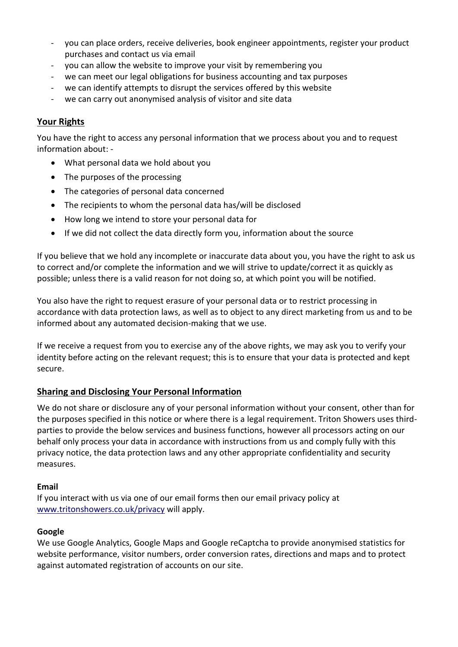- you can place orders, receive deliveries, book engineer appointments, register your product purchases and contact us via email
- you can allow the website to improve your visit by remembering you
- we can meet our legal obligations for business accounting and tax purposes
- we can identify attempts to disrupt the services offered by this website
- we can carry out anonymised analysis of visitor and site data

# **Your Rights**

You have the right to access any personal information that we process about you and to request information about: -

- What personal data we hold about you
- The purposes of the processing
- The categories of personal data concerned
- The recipients to whom the personal data has/will be disclosed
- How long we intend to store your personal data for
- If we did not collect the data directly form you, information about the source

If you believe that we hold any incomplete or inaccurate data about you, you have the right to ask us to correct and/or complete the information and we will strive to update/correct it as quickly as possible; unless there is a valid reason for not doing so, at which point you will be notified.

You also have the right to request erasure of your personal data or to restrict processing in accordance with data protection laws, as well as to object to any direct marketing from us and to be informed about any automated decision-making that we use.

If we receive a request from you to exercise any of the above rights, we may ask you to verify your identity before acting on the relevant request; this is to ensure that your data is protected and kept secure.

# **Sharing and Disclosing Your Personal Information**

We do not share or disclosure any of your personal information without your consent, other than for the purposes specified in this notice or where there is a legal requirement. Triton Showers uses thirdparties to provide the below services and business functions, however all processors acting on our behalf only process your data in accordance with instructions from us and comply fully with this privacy notice, the data protection laws and any other appropriate confidentiality and security measures.

### **Email**

If you interact with us via one of our email forms then our email privacy policy at [www.tritonshowers.co.uk/privacy](http://www.tritonshowers.co.uk/privacy) will apply.

### **Google**

We use Google Analytics, Google Maps and Google reCaptcha to provide anonymised statistics for website performance, visitor numbers, order conversion rates, directions and maps and to protect against automated registration of accounts on our site.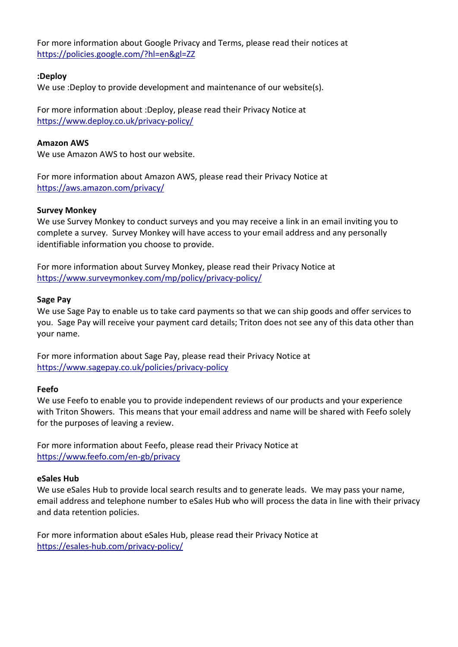For more information about Google Privacy and Terms, please read their notices at https://policies.google.com/?hl=en&gl=ZZ

### **:Deploy**

We use :Deploy to provide development and maintenance of our website(s).

For more information about :Deploy, please read their Privacy Notice at [https://www.deploy.co.uk/privacy-policy/](https://eur03.safelinks.protection.outlook.com/?url=https%3A%2F%2Fwww.deploy.co.uk%2Fprivacy-policy%2F&data=04%7C01%7Cmark_harris%40tritonshowers.co.uk%7Ccca11f9b379742997f7e08d9197b55b0%7C3c2f5b62b8a848309e83acb33ee4f301%7C0%7C0%7C637568839942883363%7CUnknown%7CTWFpbGZsb3d8eyJWIjoiMC4wLjAwMDAiLCJQIjoiV2luMzIiLCJBTiI6Ik1haWwiLCJXVCI6Mn0%3D%7C1000&sdata=sQeSAtY1VKtvPZawfH0u2kN9USXqIKjZFUPgZzHooOE%3D&reserved=0)

#### **Amazon AWS**

We use Amazon AWS to host our website.

For more information about Amazon AWS, please read their Privacy Notice at [https://aws.amazon.com/privacy/](https://eur03.safelinks.protection.outlook.com/?url=https%3A%2F%2Faws.amazon.com%2Fprivacy%2F&data=04%7C01%7Cmark_harris%40tritonshowers.co.uk%7C7f8b6227f22c4c57cc2d08d91909d2b2%7C3c2f5b62b8a848309e83acb33ee4f301%7C0%7C0%7C637568352246187733%7CUnknown%7CTWFpbGZsb3d8eyJWIjoiMC4wLjAwMDAiLCJQIjoiV2luMzIiLCJBTiI6Ik1haWwiLCJXVCI6Mn0%3D%7C1000&sdata=5WcPZKhXI0uf3SqrmYsmzPJt0hJRhyu8C73E9pH0vBo%3D&reserved=0)

#### **Survey Monkey**

We use Survey Monkey to conduct surveys and you may receive a link in an email inviting you to complete a survey. Survey Monkey will have access to your email address and any personally identifiable information you choose to provide.

For more information about Survey Monkey, please read their Privacy Notice a[t](https://apc-overnight.com/site-information/privacy-policy/) <https://www.surveymonkey.com/mp/policy/privacy-policy/>

#### **Sage Pay**

We use Sage Pay to enable us to take card payments so that we can ship goods and offer services to you. Sage Pay will receive your payment card details; Triton does not see any of this data other than your name.

For more information about Sage Pay, please read their Privacy Notice at <https://www.sagepay.co.uk/policies/privacy-policy>

### **Feefo**

We use Feefo to enable you to provide independent reviews of our products and your experience with Triton Showers. This means that your email address and name will be shared with Feefo solely for the purposes of leaving a review.

For more information about Feefo, please read their Privacy Notice at <https://www.feefo.com/en-gb/privacy>

#### **eSales Hub**

We use eSales Hub to provide local search results and to generate leads. We may pass your name, email address and telephone number to eSales Hub who will process the data in line with their privacy and data retention policies.

For more information about eSales Hub, please read their Privacy Notice at <https://esales-hub.com/privacy-policy/>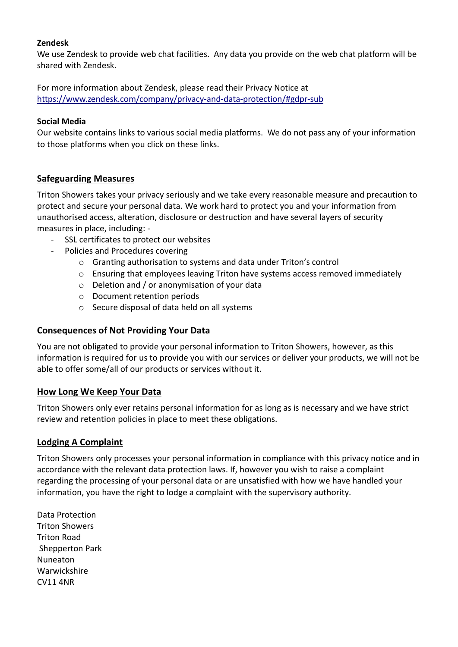### **Zendesk**

We use Zendesk to provide web chat facilities. Any data you provide on the web chat platform will be shared with Zendesk.

For more information about Zendesk, please read their Privacy Notice at <https://www.zendesk.com/company/privacy-and-data-protection/#gdpr-sub>

#### **Social Media**

Our website contains links to various social media platforms. We do not pass any of your information to those platforms when you click on these links.

### **Safeguarding Measures**

Triton Showers takes your privacy seriously and we take every reasonable measure and precaution to protect and secure your personal data. We work hard to protect you and your information from unauthorised access, alteration, disclosure or destruction and have several layers of security measures in place, including: -

- SSL certificates to protect our websites
- Policies and Procedures covering
	- o Granting authorisation to systems and data under Triton's control
	- $\circ$  Ensuring that employees leaving Triton have systems access removed immediately
	- o Deletion and / or anonymisation of your data
	- o Document retention periods
	- o Secure disposal of data held on all systems

### **Consequences of Not Providing Your Data**

You are not obligated to provide your personal information to Triton Showers, however, as this information is required for us to provide you with our services or deliver your products, we will not be able to offer some/all of our products or services without it.

### **How Long We Keep Your Data**

Triton Showers only ever retains personal information for as long as is necessary and we have strict review and retention policies in place to meet these obligations.

### **Lodging A Complaint**

Triton Showers only processes your personal information in compliance with this privacy notice and in accordance with the relevant data protection laws. If, however you wish to raise a complaint regarding the processing of your personal data or are unsatisfied with how we have handled your information, you have the right to lodge a complaint with the supervisory authority.

Data Protection Triton Showers Triton Road Shepperton Park Nuneaton Warwickshire CV11 4NR